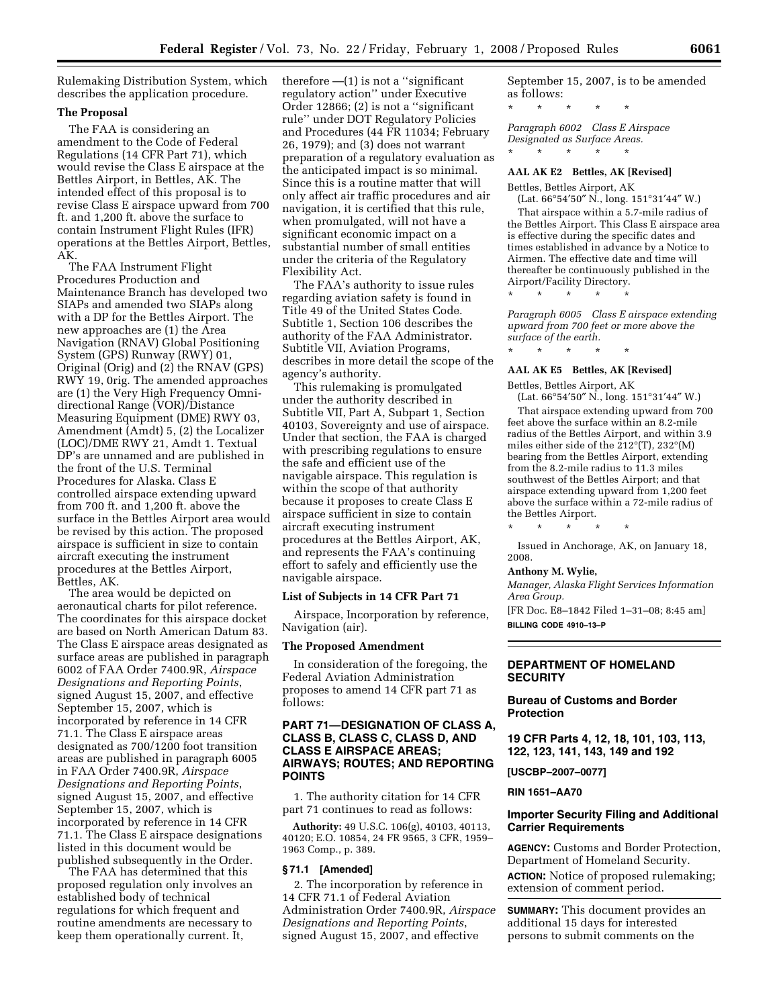Rulemaking Distribution System, which describes the application procedure.

### **The Proposal**

The FAA is considering an amendment to the Code of Federal Regulations (14 CFR Part 71), which would revise the Class E airspace at the Bettles Airport, in Bettles, AK. The intended effect of this proposal is to revise Class E airspace upward from 700 ft. and 1,200 ft. above the surface to contain Instrument Flight Rules (IFR) operations at the Bettles Airport, Bettles, AK.

The FAA Instrument Flight Procedures Production and Maintenance Branch has developed two SIAPs and amended two SIAPs along with a DP for the Bettles Airport. The new approaches are (1) the Area Navigation (RNAV) Global Positioning System (GPS) Runway (RWY) 01, Original (Orig) and (2) the RNAV (GPS) RWY 19, 0rig. The amended approaches are (1) the Very High Frequency Omnidirectional Range (VOR)/Distance Measuring Equipment (DME) RWY 03, Amendment (Amdt) 5, (2) the Localizer (LOC)/DME RWY 21, Amdt 1. Textual DP's are unnamed and are published in the front of the U.S. Terminal Procedures for Alaska. Class E controlled airspace extending upward from 700 ft. and 1,200 ft. above the surface in the Bettles Airport area would be revised by this action. The proposed airspace is sufficient in size to contain aircraft executing the instrument procedures at the Bettles Airport, Bettles, AK.

The area would be depicted on aeronautical charts for pilot reference. The coordinates for this airspace docket are based on North American Datum 83. The Class E airspace areas designated as surface areas are published in paragraph 6002 of FAA Order 7400.9R, *Airspace Designations and Reporting Points*, signed August 15, 2007, and effective September 15, 2007, which is incorporated by reference in 14 CFR 71.1. The Class E airspace areas designated as 700/1200 foot transition areas are published in paragraph 6005 in FAA Order 7400.9R, *Airspace Designations and Reporting Points*, signed August 15, 2007, and effective September 15, 2007, which is incorporated by reference in 14 CFR 71.1. The Class E airspace designations listed in this document would be published subsequently in the Order.

The FAA has determined that this proposed regulation only involves an established body of technical regulations for which frequent and routine amendments are necessary to keep them operationally current. It,

therefore —(1) is not a ''significant regulatory action'' under Executive Order 12866; (2) is not a ''significant rule'' under DOT Regulatory Policies and Procedures (44 FR 11034; February 26, 1979); and (3) does not warrant preparation of a regulatory evaluation as the anticipated impact is so minimal. Since this is a routine matter that will only affect air traffic procedures and air navigation, it is certified that this rule, when promulgated, will not have a significant economic impact on a substantial number of small entities under the criteria of the Regulatory Flexibility Act.

The FAA's authority to issue rules regarding aviation safety is found in Title 49 of the United States Code. Subtitle 1, Section 106 describes the authority of the FAA Administrator. Subtitle VII, Aviation Programs, describes in more detail the scope of the agency's authority.

This rulemaking is promulgated under the authority described in Subtitle VII, Part A, Subpart 1, Section 40103, Sovereignty and use of airspace. Under that section, the FAA is charged with prescribing regulations to ensure the safe and efficient use of the navigable airspace. This regulation is within the scope of that authority because it proposes to create Class E airspace sufficient in size to contain aircraft executing instrument procedures at the Bettles Airport, AK, and represents the FAA's continuing effort to safely and efficiently use the navigable airspace.

# **List of Subjects in 14 CFR Part 71**

Airspace, Incorporation by reference, Navigation (air).

#### **The Proposed Amendment**

In consideration of the foregoing, the Federal Aviation Administration proposes to amend 14 CFR part 71 as follows:

# **PART 71—DESIGNATION OF CLASS A, CLASS B, CLASS C, CLASS D, AND CLASS E AIRSPACE AREAS; AIRWAYS; ROUTES; AND REPORTING POINTS**

1. The authority citation for 14 CFR part 71 continues to read as follows:

**Authority:** 49 U.S.C. 106(g), 40103, 40113, 40120; E.O. 10854, 24 FR 9565, 3 CFR, 1959– 1963 Comp., p. 389.

### **§ 71.1 [Amended]**

2. The incorporation by reference in 14 CFR 71.1 of Federal Aviation Administration Order 7400.9R, *Airspace Designations and Reporting Points*, signed August 15, 2007, and effective

September 15, 2007, is to be amended as follows:

\* \* \* \* \*

*Paragraph 6002 Class E Airspace Designated as Surface Areas.*  \* \* \* \* \*

### **AAL AK E2 Bettles, AK [Revised]**

Bettles, Bettles Airport, AK

(Lat. 66°54′50″ N., long. 151°31′44″ W.) That airspace within a 5.7-mile radius of the Bettles Airport. This Class E airspace area is effective during the specific dates and times established in advance by a Notice to Airmen. The effective date and time will thereafter be continuously published in the Airport/Facility Directory.

*Paragraph 6005 Class E airspace extending upward from 700 feet or more above the surface of the earth.* 

\* \* \* \* \*

\* \* \* \* \*

# **AAL AK E5 Bettles, AK [Revised]**

Bettles, Bettles Airport, AK (Lat. 66°54′50″ N., long. 151°31′44″ W.)

That airspace extending upward from 700 feet above the surface within an 8.2-mile

radius of the Bettles Airport, and within 3.9 miles either side of the 212°(T), 232°(M) bearing from the Bettles Airport, extending from the 8.2-mile radius to 11.3 miles southwest of the Bettles Airport; and that airspace extending upward from 1,200 feet above the surface within a 72-mile radius of the Bettles Airport.

\* \* \* \* \*

Issued in Anchorage, AK, on January 18, 2008.

#### **Anthony M. Wylie,**

*Manager, Alaska Flight Services Information Area Group.* 

[FR Doc. E8–1842 Filed 1–31–08; 8:45 am] **BILLING CODE 4910–13–P** 

# **DEPARTMENT OF HOMELAND SECURITY**

## **Bureau of Customs and Border Protection**

**19 CFR Parts 4, 12, 18, 101, 103, 113, 122, 123, 141, 143, 149 and 192** 

**[USCBP–2007–0077]** 

**RIN 1651–AA70** 

# **Importer Security Filing and Additional Carrier Requirements**

**AGENCY:** Customs and Border Protection, Department of Homeland Security. **ACTION:** Notice of proposed rulemaking; extension of comment period.

**SUMMARY:** This document provides an additional 15 days for interested persons to submit comments on the